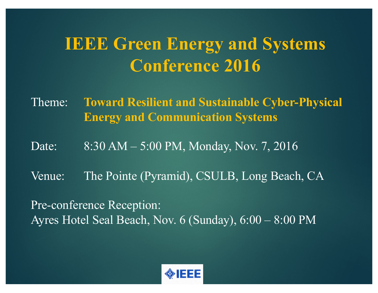## **IEEE Green Energy and Systems Conference 2016**

Theme: **Toward Resilient and Sustainable Cyber-Physical Energy and Communication Systems**

Date: 8:30 AM – 5:00 PM, Monday, Nov. 7, 2016

Venue: The Pointe (Pyramid), CSULB, Long Beach, CA

Pre-conference Reception: Ayres Hotel Seal Beach, Nov. 6 (Sunday), 6:00 – 8:00 PM

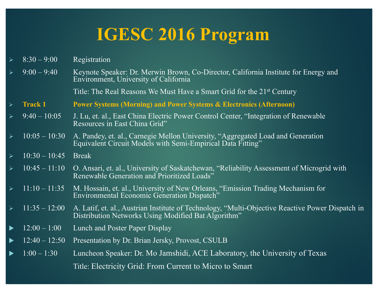- $8:30 9:00$  Registration
- Ø 9:00 9:40 Keynote Speaker: Dr. Merwin Brown, Co-Director, California Institute for Energy and Environment, University of California

Title: The Real Reasons We Must Have a Smart Grid for the 21st Century

- Ø **Track 1 Power Systems (Morning) and Power Systems & Electronics (Afternoon)**
- Ø 9:40 10:05 J. Lu, et. al., East China Electric Power Control Center, "Integration of Renewable Resources in East China Grid"
- Ø 10:05 10:30 A. Pandey, et. al., Carnegie Mellon University, "Aggregated Load and Generation Equivalent Circuit Models with Semi-Empirical Data Fitting"
- $\geq 10:30 10:45$  Break
- $\geq 10:45 11:10$  O. Ansari, et. al., University of Saskatchewan, "Reliability Assessment of Microgrid with Renewable Generation and Prioritized Loads"
- Ø 11:10 11:35 M. Hossain, et. al., University of New Orleans, "Emission Trading Mechanism for Environmental Economic Generation Dispatch"
- Ø 11:35 12:00 A. Latif, et. al., Austrian Institute of Technology, "Multi-Objective Reactive Power Dispatch in Distribution Networks Using Modified Bat Algorithm"
- $12:00 1:00$  Lunch and Poster Paper Display
- 12:40 12:50 Presentation by Dr. Brian Jersky, Provost, CSULB
- u 1:00 1:30 Luncheon Speaker: Dr. Mo Jamshidi, ACE Laboratory, the University of Texas Title: Electricity Grid: From Current to Micro to Smart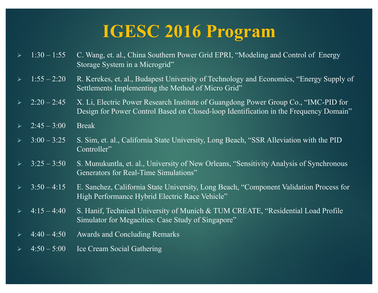|                       | $\geq 1:30-1:55$             | C. Wang, et. al., China Southern Power Grid EPRI, "Modeling and Control of Energy<br>Storage System in a Microgrid"                                                          |
|-----------------------|------------------------------|------------------------------------------------------------------------------------------------------------------------------------------------------------------------------|
| $\blacktriangleright$ | $1:55 - 2:20$                | R. Kerekes, et. al., Budapest University of Technology and Economics, "Energy Supply of<br>Settlements Implementing the Method of Micro Grid"                                |
|                       | $2:20 - 2:45$                | X. Li, Electric Power Research Institute of Guangdong Power Group Co., "IMC-PID for<br>Design for Power Control Based on Closed-loop Identification in the Frequency Domain" |
|                       | $\triangleright$ 2:45 - 3:00 | <b>Break</b>                                                                                                                                                                 |
|                       | $\triangleright$ 3:00 - 3:25 | S. Sim, et. al., California State University, Long Beach, "SSR Alleviation with the PID<br>Controller"                                                                       |
|                       | $\triangleright$ 3:25 - 3:50 | S. Munukuntla, et. al., University of New Orleans, "Sensitivity Analysis of Synchronous<br>Generators for Real-Time Simulations"                                             |
|                       | $\geq 3:50-4:15$             | E. Sanchez, California State University, Long Beach, "Component Validation Process for<br>High Performance Hybrid Electric Race Vehicle"                                     |
| $\blacktriangleright$ | $4:15-4:40$                  | S. Hanif, Technical University of Munich & TUM CREATE, "Residential Load Profile<br>Simulator for Megacities: Case Study of Singapore"                                       |
| $\blacktriangleright$ | $4:40 - 4:50$                | <b>Awards and Concluding Remarks</b>                                                                                                                                         |
|                       | $\triangleright$ 4:50 - 5:00 | Ice Cream Social Gathering                                                                                                                                                   |
|                       |                              |                                                                                                                                                                              |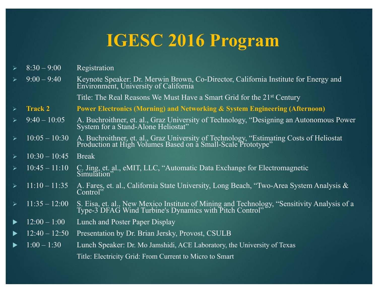$8:30 - 9:00$  Registration

<sup>Ø</sup> 9:00 – 9:40 Keynote Speaker: Dr. Merwin Brown, Co-Director, California Institute for Energy and Environment, University of California

Title: The Real Reasons We Must Have a Smart Grid for the 21<sup>st</sup> Century

- Ø **Track 2 Power Electronics (Morning) and Networking & System Engineering (Afternoon)**
- <sup>Ø</sup> 9:40 10:05 A. Buchroithner, et. al., Graz University of Technology, "Designing an Autonomous Power System for a Stand-Alone Heliostat"
- <sup>Ø</sup> 10:05 10:30 A. Buchroithner, et. al., Graz University of Technology, "Estimating Costs of Heliostat Production at High Volumes Based on a Small-Scale Prototype"
- $10:30 10:45$  Break
- 10:45 11:10 C. Jing, et. al., eMIT, LLC, "Automatic Data Exchange for Electromagnetic Simulation"
- <sup>Ø</sup> 11:10 11:35 A. Fares, et. al., California State University, Long Beach, "Two-Area System Analysis & Control"
- $\geq 11:35 12:00$  S. Eisa, et. al., New Mexico Institute of Mining and Technology, "Sensitivity Analysis of a Type-3 DFAG Wind Turbine's Dynamics with Pitch Control"
- $12:00 1:00$  Lunch and Poster Paper Display
- u 12:40 12:50 Presentation by Dr. Brian Jersky, Provost, CSULB
- u 1:00 1:30 Lunch Speaker: Dr. Mo Jamshidi, ACE Laboratory, the University of Texas Title: Electricity Grid: From Current to Micro to Smart